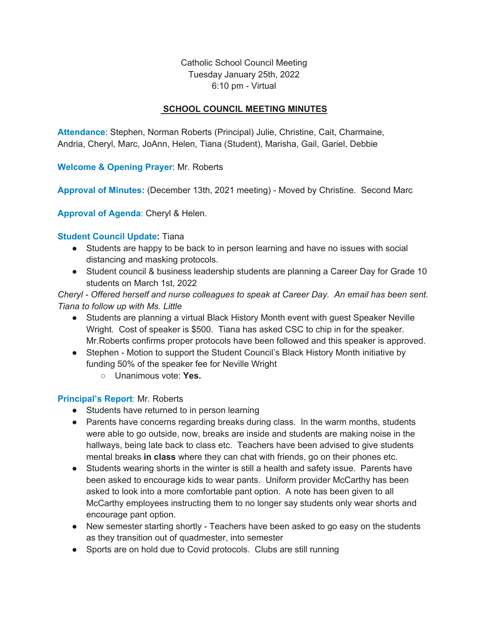Catholic School Council Meeting Tuesday January 25th, 2022 6:10 pm - Virtual

## **SCHOOL COUNCIL MEETING MINUTES**

**Attendance**: Stephen, Norman Roberts (Principal) Julie, Christine, Cait, Charmaine, Andria, Cheryl, Marc, JoAnn, Helen, Tiana (Student), Marisha, Gail, Gariel, Debbie

**Welcome & Opening Prayer**: Mr. Roberts

**Approval of Minutes:** (December 13th, 2021 meeting) - Moved by Christine. Second Marc

**Approval of Agenda**: Cheryl & Helen.

### **Student Council Update:** Tiana

- Students are happy to be back to in person learning and have no issues with social distancing and masking protocols.
- Student council & business leadership students are planning a Career Day for Grade 10 students on March 1st, 2022

*Cheryl - Offered herself and nurse colleagues to speak at Career Day. An email has been sent. Tiana to follow up with Ms. Little*

- Students are planning a virtual Black History Month event with guest Speaker Neville Wright. Cost of speaker is \$500. Tiana has asked CSC to chip in for the speaker. Mr.Roberts confirms proper protocols have been followed and this speaker is approved.
- Stephen Motion to support the Student Council's Black History Month initiative by funding 50% of the speaker fee for Neville Wright
	- Unanimous vote: **Yes.**

### **Principal's Report**: Mr. Roberts

- Students have returned to in person learning
- Parents have concerns regarding breaks during class. In the warm months, students were able to go outside, now, breaks are inside and students are making noise in the hallways, being late back to class etc. Teachers have been advised to give students mental breaks **in class** where they can chat with friends, go on their phones etc.
- Students wearing shorts in the winter is still a health and safety issue. Parents have been asked to encourage kids to wear pants. Uniform provider McCarthy has been asked to look into a more comfortable pant option. A note has been given to all McCarthy employees instructing them to no longer say students only wear shorts and encourage pant option.
- New semester starting shortly Teachers have been asked to go easy on the students as they transition out of quadmester, into semester
- Sports are on hold due to Covid protocols. Clubs are still running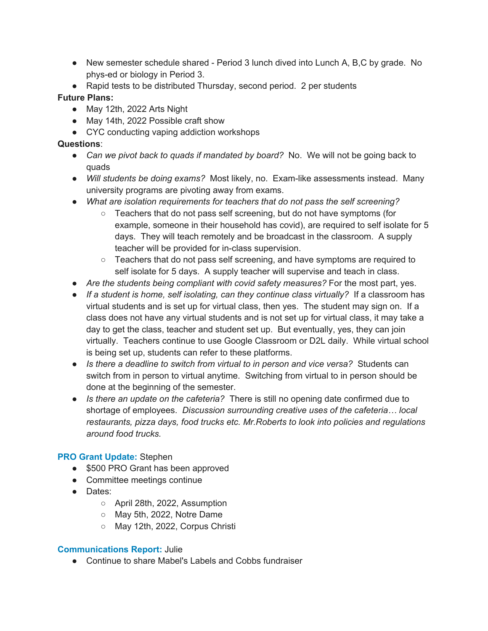- New semester schedule shared Period 3 lunch dived into Lunch A, B,C by grade. No phys-ed or biology in Period 3.
- Rapid tests to be distributed Thursday, second period. 2 per students

# **Future Plans:**

- May 12th, 2022 Arts Night
- May 14th, 2022 Possible craft show
- CYC conducting vaping addiction workshops

## **Questions**:

- *Can we pivot back to quads if mandated by board?* No. We will not be going back to quads
- *Will students be doing exams?* Most likely, no. Exam-like assessments instead. Many university programs are pivoting away from exams.
- *What are isolation requirements for teachers that do not pass the self screening?*
	- Teachers that do not pass self screening, but do not have symptoms (for example, someone in their household has covid), are required to self isolate for 5 days. They will teach remotely and be broadcast in the classroom. A supply teacher will be provided for in-class supervision.
	- Teachers that do not pass self screening, and have symptoms are required to self isolate for 5 days. A supply teacher will supervise and teach in class.
- *Are the students being compliant with covid safety measures?* For the most part, yes.
- *If a student is home, self isolating, can they continue class virtually?* If a classroom has virtual students and is set up for virtual class, then yes. The student may sign on. If a class does not have any virtual students and is not set up for virtual class, it may take a day to get the class, teacher and student set up. But eventually, yes, they can join virtually. Teachers continue to use Google Classroom or D2L daily. While virtual school is being set up, students can refer to these platforms.
- *Is there a deadline to switch from virtual to in person and vice versa?* Students can switch from in person to virtual anytime. Switching from virtual to in person should be done at the beginning of the semester.
- *Is there an update on the cafeteria?* There is still no opening date confirmed due to shortage of employees. *Discussion surrounding creative uses of the cafeteria… local restaurants, pizza days, food trucks etc. Mr.Roberts to look into policies and regulations around food trucks.*

## **PRO Grant Update:** Stephen

- \$500 PRO Grant has been approved
- Committee meetings continue
- Dates:
	- April 28th, 2022, Assumption
	- May 5th, 2022, Notre Dame
	- May 12th, 2022, Corpus Christi

## **Communications Report:** Julie

● Continue to share Mabel's Labels and Cobbs fundraiser